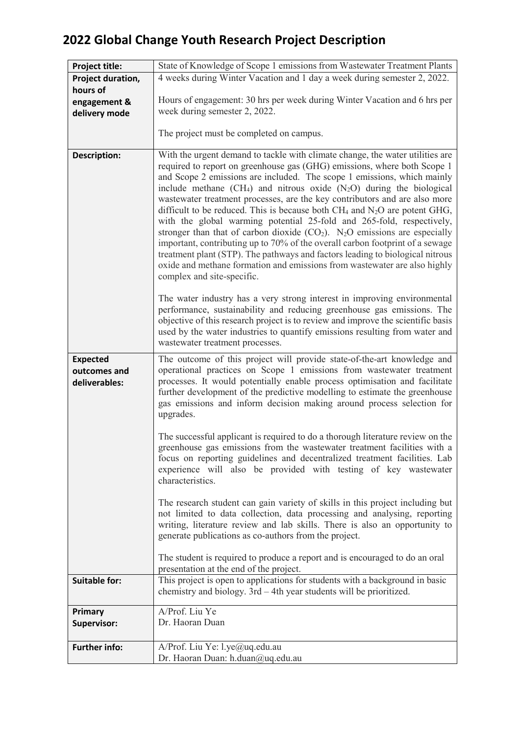| Project title:                                   | State of Knowledge of Scope 1 emissions from Wastewater Treatment Plants                                                                                                                                                                                                                                                                                                                                                                                                                                                                                                                                                                                                                                                                 |
|--------------------------------------------------|------------------------------------------------------------------------------------------------------------------------------------------------------------------------------------------------------------------------------------------------------------------------------------------------------------------------------------------------------------------------------------------------------------------------------------------------------------------------------------------------------------------------------------------------------------------------------------------------------------------------------------------------------------------------------------------------------------------------------------------|
| Project duration,                                | 4 weeks during Winter Vacation and 1 day a week during semester 2, 2022.                                                                                                                                                                                                                                                                                                                                                                                                                                                                                                                                                                                                                                                                 |
| hours of                                         |                                                                                                                                                                                                                                                                                                                                                                                                                                                                                                                                                                                                                                                                                                                                          |
| engagement &                                     | Hours of engagement: 30 hrs per week during Winter Vacation and 6 hrs per                                                                                                                                                                                                                                                                                                                                                                                                                                                                                                                                                                                                                                                                |
| delivery mode                                    | week during semester 2, 2022.                                                                                                                                                                                                                                                                                                                                                                                                                                                                                                                                                                                                                                                                                                            |
|                                                  |                                                                                                                                                                                                                                                                                                                                                                                                                                                                                                                                                                                                                                                                                                                                          |
|                                                  | The project must be completed on campus.                                                                                                                                                                                                                                                                                                                                                                                                                                                                                                                                                                                                                                                                                                 |
|                                                  |                                                                                                                                                                                                                                                                                                                                                                                                                                                                                                                                                                                                                                                                                                                                          |
| <b>Description:</b>                              | With the urgent demand to tackle with climate change, the water utilities are<br>required to report on greenhouse gas (GHG) emissions, where both Scope 1<br>and Scope 2 emissions are included. The scope 1 emissions, which mainly<br>include methane $(CH_4)$ and nitrous oxide $(N_2O)$ during the biological<br>wastewater treatment processes, are the key contributors and are also more<br>difficult to be reduced. This is because both $CH_4$ and $N_2O$ are potent GHG,<br>with the global warming potential 25-fold and 265-fold, respectively,<br>stronger than that of carbon dioxide $(CO2)$ . N <sub>2</sub> O emissions are especially<br>important, contributing up to 70% of the overall carbon footprint of a sewage |
|                                                  | treatment plant (STP). The pathways and factors leading to biological nitrous<br>oxide and methane formation and emissions from wastewater are also highly<br>complex and site-specific.                                                                                                                                                                                                                                                                                                                                                                                                                                                                                                                                                 |
|                                                  | The water industry has a very strong interest in improving environmental<br>performance, sustainability and reducing greenhouse gas emissions. The<br>objective of this research project is to review and improve the scientific basis<br>used by the water industries to quantify emissions resulting from water and<br>wastewater treatment processes.                                                                                                                                                                                                                                                                                                                                                                                 |
| <b>Expected</b><br>outcomes and<br>deliverables: | The outcome of this project will provide state-of-the-art knowledge and<br>operational practices on Scope 1 emissions from wastewater treatment<br>processes. It would potentially enable process optimisation and facilitate<br>further development of the predictive modelling to estimate the greenhouse<br>gas emissions and inform decision making around process selection for<br>upgrades.                                                                                                                                                                                                                                                                                                                                        |
|                                                  | The successful applicant is required to do a thorough literature review on the<br>greenhouse gas emissions from the wastewater treatment facilities with a<br>focus on reporting guidelines and decentralized treatment facilities. Lab<br>experience will also be provided with testing of key wastewater<br>characteristics.                                                                                                                                                                                                                                                                                                                                                                                                           |
|                                                  | The research student can gain variety of skills in this project including but<br>not limited to data collection, data processing and analysing, reporting<br>writing, literature review and lab skills. There is also an opportunity to<br>generate publications as co-authors from the project.                                                                                                                                                                                                                                                                                                                                                                                                                                         |
|                                                  | The student is required to produce a report and is encouraged to do an oral<br>presentation at the end of the project.                                                                                                                                                                                                                                                                                                                                                                                                                                                                                                                                                                                                                   |
| <b>Suitable for:</b>                             | This project is open to applications for students with a background in basic<br>chemistry and biology. 3rd - 4th year students will be prioritized.                                                                                                                                                                                                                                                                                                                                                                                                                                                                                                                                                                                      |
| Primary                                          | A/Prof. Liu Ye                                                                                                                                                                                                                                                                                                                                                                                                                                                                                                                                                                                                                                                                                                                           |
| <b>Supervisor:</b>                               | Dr. Haoran Duan                                                                                                                                                                                                                                                                                                                                                                                                                                                                                                                                                                                                                                                                                                                          |
| <b>Further info:</b>                             | A/Prof. Liu Ye: l.ye@uq.edu.au<br>Dr. Haoran Duan: h.duan@uq.edu.au                                                                                                                                                                                                                                                                                                                                                                                                                                                                                                                                                                                                                                                                      |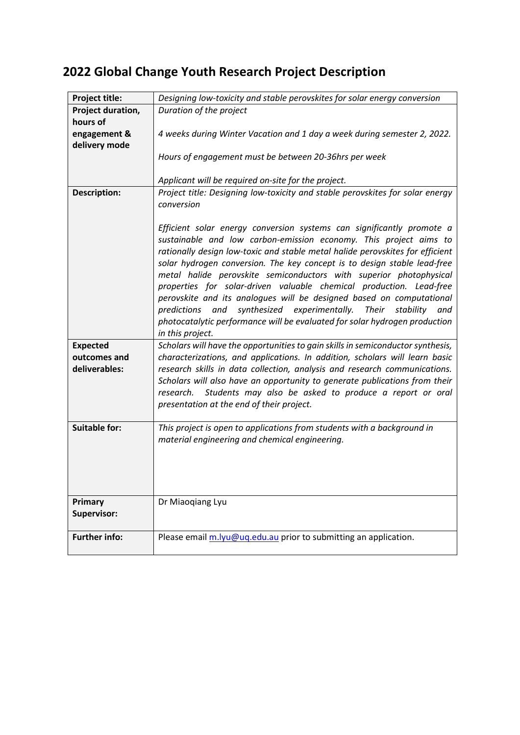| Project title:         | Designing low-toxicity and stable perovskites for solar energy conversion                                                                                                                                                                                                                                                                                                                                                                                                                                                                                                                                                                                                                                               |
|------------------------|-------------------------------------------------------------------------------------------------------------------------------------------------------------------------------------------------------------------------------------------------------------------------------------------------------------------------------------------------------------------------------------------------------------------------------------------------------------------------------------------------------------------------------------------------------------------------------------------------------------------------------------------------------------------------------------------------------------------------|
| Project duration,      | Duration of the project                                                                                                                                                                                                                                                                                                                                                                                                                                                                                                                                                                                                                                                                                                 |
| hours of               |                                                                                                                                                                                                                                                                                                                                                                                                                                                                                                                                                                                                                                                                                                                         |
| engagement &           | 4 weeks during Winter Vacation and 1 day a week during semester 2, 2022.                                                                                                                                                                                                                                                                                                                                                                                                                                                                                                                                                                                                                                                |
| delivery mode          |                                                                                                                                                                                                                                                                                                                                                                                                                                                                                                                                                                                                                                                                                                                         |
|                        | Hours of engagement must be between 20-36hrs per week                                                                                                                                                                                                                                                                                                                                                                                                                                                                                                                                                                                                                                                                   |
|                        |                                                                                                                                                                                                                                                                                                                                                                                                                                                                                                                                                                                                                                                                                                                         |
|                        | Applicant will be required on-site for the project.                                                                                                                                                                                                                                                                                                                                                                                                                                                                                                                                                                                                                                                                     |
|                        | Project title: Designing low-toxicity and stable perovskites for solar energy                                                                                                                                                                                                                                                                                                                                                                                                                                                                                                                                                                                                                                           |
| <b>Description:</b>    |                                                                                                                                                                                                                                                                                                                                                                                                                                                                                                                                                                                                                                                                                                                         |
|                        | conversion                                                                                                                                                                                                                                                                                                                                                                                                                                                                                                                                                                                                                                                                                                              |
|                        | Efficient solar energy conversion systems can significantly promote a<br>sustainable and low carbon-emission economy. This project aims to<br>rationally design low-toxic and stable metal halide perovskites for efficient<br>solar hydrogen conversion. The key concept is to design stable lead-free<br>metal halide perovskite semiconductors with superior photophysical<br>properties for solar-driven valuable chemical production. Lead-free<br>perovskite and its analogues will be designed based on computational<br>synthesized experimentally.<br>predictions<br>and<br><b>Their</b><br>stability<br>and<br>photocatalytic performance will be evaluated for solar hydrogen production<br>in this project. |
| <b>Expected</b>        | Scholars will have the opportunities to gain skills in semiconductor synthesis,                                                                                                                                                                                                                                                                                                                                                                                                                                                                                                                                                                                                                                         |
| outcomes and           | characterizations, and applications. In addition, scholars will learn basic                                                                                                                                                                                                                                                                                                                                                                                                                                                                                                                                                                                                                                             |
| deliverables:          | research skills in data collection, analysis and research communications.<br>Scholars will also have an opportunity to generate publications from their<br>research. Students may also be asked to produce a report or oral<br>presentation at the end of their project.                                                                                                                                                                                                                                                                                                                                                                                                                                                |
| <b>Suitable for:</b>   | This project is open to applications from students with a background in<br>material engineering and chemical engineering.                                                                                                                                                                                                                                                                                                                                                                                                                                                                                                                                                                                               |
|                        |                                                                                                                                                                                                                                                                                                                                                                                                                                                                                                                                                                                                                                                                                                                         |
| Primary<br>Supervisor: | Dr Miaoqiang Lyu                                                                                                                                                                                                                                                                                                                                                                                                                                                                                                                                                                                                                                                                                                        |
| <b>Further info:</b>   | Please email m.lyu@uq.edu.au prior to submitting an application.                                                                                                                                                                                                                                                                                                                                                                                                                                                                                                                                                                                                                                                        |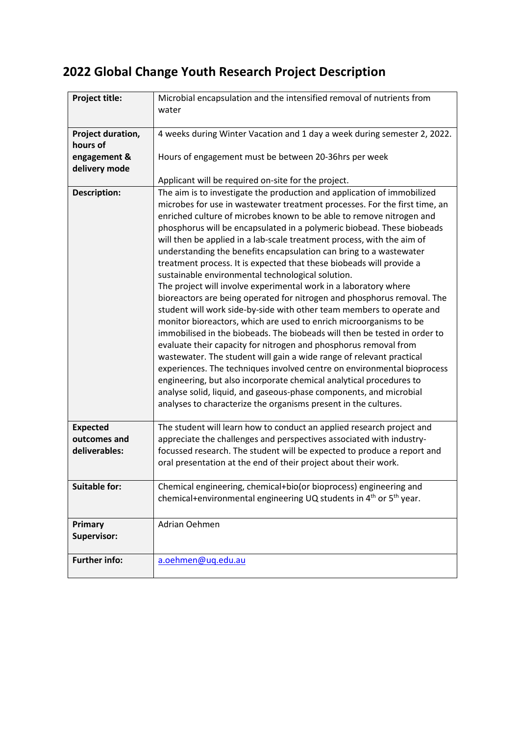| Project title:       | Microbial encapsulation and the intensified removal of nutrients from                      |
|----------------------|--------------------------------------------------------------------------------------------|
|                      | water                                                                                      |
|                      |                                                                                            |
| Project duration,    | 4 weeks during Winter Vacation and 1 day a week during semester 2, 2022.                   |
| hours of             |                                                                                            |
| engagement &         | Hours of engagement must be between 20-36hrs per week                                      |
| delivery mode        |                                                                                            |
|                      | Applicant will be required on-site for the project.                                        |
| <b>Description:</b>  | The aim is to investigate the production and application of immobilized                    |
|                      | microbes for use in wastewater treatment processes. For the first time, an                 |
|                      | enriched culture of microbes known to be able to remove nitrogen and                       |
|                      | phosphorus will be encapsulated in a polymeric biobead. These biobeads                     |
|                      | will then be applied in a lab-scale treatment process, with the aim of                     |
|                      | understanding the benefits encapsulation can bring to a wastewater                         |
|                      |                                                                                            |
|                      | treatment process. It is expected that these biobeads will provide a                       |
|                      | sustainable environmental technological solution.                                          |
|                      | The project will involve experimental work in a laboratory where                           |
|                      | bioreactors are being operated for nitrogen and phosphorus removal. The                    |
|                      | student will work side-by-side with other team members to operate and                      |
|                      | monitor bioreactors, which are used to enrich microorganisms to be                         |
|                      | immobilised in the biobeads. The biobeads will then be tested in order to                  |
|                      | evaluate their capacity for nitrogen and phosphorus removal from                           |
|                      | wastewater. The student will gain a wide range of relevant practical                       |
|                      | experiences. The techniques involved centre on environmental bioprocess                    |
|                      | engineering, but also incorporate chemical analytical procedures to                        |
|                      | analyse solid, liquid, and gaseous-phase components, and microbial                         |
|                      | analyses to characterize the organisms present in the cultures.                            |
|                      |                                                                                            |
| <b>Expected</b>      | The student will learn how to conduct an applied research project and                      |
| outcomes and         | appreciate the challenges and perspectives associated with industry-                       |
| deliverables:        | focussed research. The student will be expected to produce a report and                    |
|                      | oral presentation at the end of their project about their work.                            |
|                      |                                                                                            |
| <b>Suitable for:</b> | Chemical engineering, chemical+bio(or bioprocess) engineering and                          |
|                      | chemical+environmental engineering UQ students in 4 <sup>th</sup> or 5 <sup>th</sup> year. |
|                      |                                                                                            |
| Primary              | Adrian Oehmen                                                                              |
| Supervisor:          |                                                                                            |
|                      |                                                                                            |
| <b>Further info:</b> | a.oehmen@uq.edu.au                                                                         |
|                      |                                                                                            |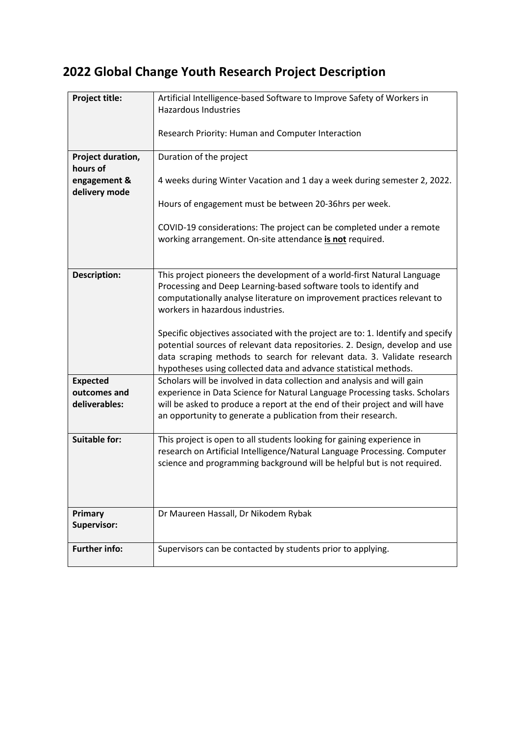| Project title:                | Artificial Intelligence-based Software to Improve Safety of Workers in<br><b>Hazardous Industries</b>                                                                                                                                                                                                         |
|-------------------------------|---------------------------------------------------------------------------------------------------------------------------------------------------------------------------------------------------------------------------------------------------------------------------------------------------------------|
|                               | Research Priority: Human and Computer Interaction                                                                                                                                                                                                                                                             |
| Project duration,             | Duration of the project                                                                                                                                                                                                                                                                                       |
| hours of                      |                                                                                                                                                                                                                                                                                                               |
| engagement &<br>delivery mode | 4 weeks during Winter Vacation and 1 day a week during semester 2, 2022.                                                                                                                                                                                                                                      |
|                               | Hours of engagement must be between 20-36hrs per week.                                                                                                                                                                                                                                                        |
|                               | COVID-19 considerations: The project can be completed under a remote<br>working arrangement. On-site attendance is not required.                                                                                                                                                                              |
|                               |                                                                                                                                                                                                                                                                                                               |
| <b>Description:</b>           | This project pioneers the development of a world-first Natural Language<br>Processing and Deep Learning-based software tools to identify and<br>computationally analyse literature on improvement practices relevant to<br>workers in hazardous industries.                                                   |
|                               | Specific objectives associated with the project are to: 1. Identify and specify<br>potential sources of relevant data repositories. 2. Design, develop and use<br>data scraping methods to search for relevant data. 3. Validate research<br>hypotheses using collected data and advance statistical methods. |
| <b>Expected</b>               | Scholars will be involved in data collection and analysis and will gain                                                                                                                                                                                                                                       |
| outcomes and<br>deliverables: | experience in Data Science for Natural Language Processing tasks. Scholars<br>will be asked to produce a report at the end of their project and will have<br>an opportunity to generate a publication from their research.                                                                                    |
| <b>Suitable for:</b>          | This project is open to all students looking for gaining experience in                                                                                                                                                                                                                                        |
|                               | research on Artificial Intelligence/Natural Language Processing. Computer<br>science and programming background will be helpful but is not required.                                                                                                                                                          |
|                               |                                                                                                                                                                                                                                                                                                               |
| Primary<br>Supervisor:        | Dr Maureen Hassall, Dr Nikodem Rybak                                                                                                                                                                                                                                                                          |
| <b>Further info:</b>          | Supervisors can be contacted by students prior to applying.                                                                                                                                                                                                                                                   |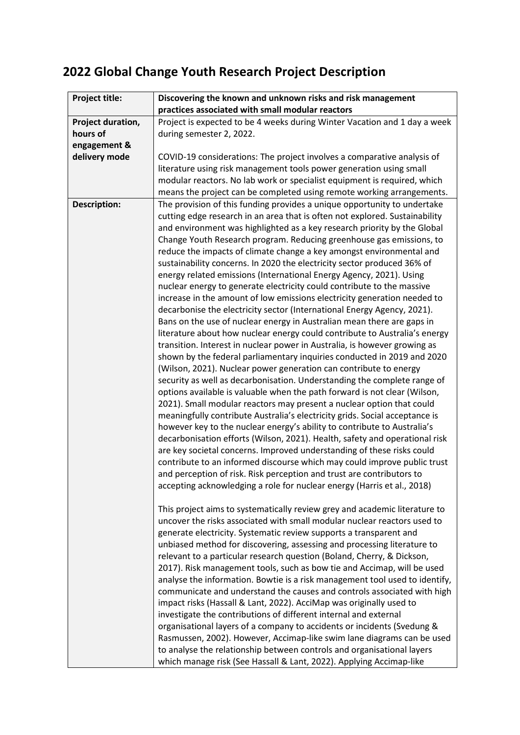| Project title:      | Discovering the known and unknown risks and risk management                                                                                                                                                                                                                                                                                                                                                                                                                                                                                                                                                                                                                                                                                                                                                                                                                                                                                                                                                                                                                                                                                                                                                                                                                                                                                                                                                                                                                                                                                                                                                                                                                                                                                                                                                                                                                                                                                                                                                                                                                                                                                                                                                                                                                                                                                                                                                                                                                                                                                                                                                                                                                                                                 |
|---------------------|-----------------------------------------------------------------------------------------------------------------------------------------------------------------------------------------------------------------------------------------------------------------------------------------------------------------------------------------------------------------------------------------------------------------------------------------------------------------------------------------------------------------------------------------------------------------------------------------------------------------------------------------------------------------------------------------------------------------------------------------------------------------------------------------------------------------------------------------------------------------------------------------------------------------------------------------------------------------------------------------------------------------------------------------------------------------------------------------------------------------------------------------------------------------------------------------------------------------------------------------------------------------------------------------------------------------------------------------------------------------------------------------------------------------------------------------------------------------------------------------------------------------------------------------------------------------------------------------------------------------------------------------------------------------------------------------------------------------------------------------------------------------------------------------------------------------------------------------------------------------------------------------------------------------------------------------------------------------------------------------------------------------------------------------------------------------------------------------------------------------------------------------------------------------------------------------------------------------------------------------------------------------------------------------------------------------------------------------------------------------------------------------------------------------------------------------------------------------------------------------------------------------------------------------------------------------------------------------------------------------------------------------------------------------------------------------------------------------------------|
|                     | practices associated with small modular reactors                                                                                                                                                                                                                                                                                                                                                                                                                                                                                                                                                                                                                                                                                                                                                                                                                                                                                                                                                                                                                                                                                                                                                                                                                                                                                                                                                                                                                                                                                                                                                                                                                                                                                                                                                                                                                                                                                                                                                                                                                                                                                                                                                                                                                                                                                                                                                                                                                                                                                                                                                                                                                                                                            |
| Project duration,   | Project is expected to be 4 weeks during Winter Vacation and 1 day a week                                                                                                                                                                                                                                                                                                                                                                                                                                                                                                                                                                                                                                                                                                                                                                                                                                                                                                                                                                                                                                                                                                                                                                                                                                                                                                                                                                                                                                                                                                                                                                                                                                                                                                                                                                                                                                                                                                                                                                                                                                                                                                                                                                                                                                                                                                                                                                                                                                                                                                                                                                                                                                                   |
| hours of            | during semester 2, 2022.                                                                                                                                                                                                                                                                                                                                                                                                                                                                                                                                                                                                                                                                                                                                                                                                                                                                                                                                                                                                                                                                                                                                                                                                                                                                                                                                                                                                                                                                                                                                                                                                                                                                                                                                                                                                                                                                                                                                                                                                                                                                                                                                                                                                                                                                                                                                                                                                                                                                                                                                                                                                                                                                                                    |
| engagement &        |                                                                                                                                                                                                                                                                                                                                                                                                                                                                                                                                                                                                                                                                                                                                                                                                                                                                                                                                                                                                                                                                                                                                                                                                                                                                                                                                                                                                                                                                                                                                                                                                                                                                                                                                                                                                                                                                                                                                                                                                                                                                                                                                                                                                                                                                                                                                                                                                                                                                                                                                                                                                                                                                                                                             |
| delivery mode       | COVID-19 considerations: The project involves a comparative analysis of                                                                                                                                                                                                                                                                                                                                                                                                                                                                                                                                                                                                                                                                                                                                                                                                                                                                                                                                                                                                                                                                                                                                                                                                                                                                                                                                                                                                                                                                                                                                                                                                                                                                                                                                                                                                                                                                                                                                                                                                                                                                                                                                                                                                                                                                                                                                                                                                                                                                                                                                                                                                                                                     |
|                     | literature using risk management tools power generation using small                                                                                                                                                                                                                                                                                                                                                                                                                                                                                                                                                                                                                                                                                                                                                                                                                                                                                                                                                                                                                                                                                                                                                                                                                                                                                                                                                                                                                                                                                                                                                                                                                                                                                                                                                                                                                                                                                                                                                                                                                                                                                                                                                                                                                                                                                                                                                                                                                                                                                                                                                                                                                                                         |
|                     | modular reactors. No lab work or specialist equipment is required, which                                                                                                                                                                                                                                                                                                                                                                                                                                                                                                                                                                                                                                                                                                                                                                                                                                                                                                                                                                                                                                                                                                                                                                                                                                                                                                                                                                                                                                                                                                                                                                                                                                                                                                                                                                                                                                                                                                                                                                                                                                                                                                                                                                                                                                                                                                                                                                                                                                                                                                                                                                                                                                                    |
|                     |                                                                                                                                                                                                                                                                                                                                                                                                                                                                                                                                                                                                                                                                                                                                                                                                                                                                                                                                                                                                                                                                                                                                                                                                                                                                                                                                                                                                                                                                                                                                                                                                                                                                                                                                                                                                                                                                                                                                                                                                                                                                                                                                                                                                                                                                                                                                                                                                                                                                                                                                                                                                                                                                                                                             |
| <b>Description:</b> | means the project can be completed using remote working arrangements.<br>The provision of this funding provides a unique opportunity to undertake<br>cutting edge research in an area that is often not explored. Sustainability<br>and environment was highlighted as a key research priority by the Global<br>Change Youth Research program. Reducing greenhouse gas emissions, to<br>reduce the impacts of climate change a key amongst environmental and<br>sustainability concerns. In 2020 the electricity sector produced 36% of<br>energy related emissions (International Energy Agency, 2021). Using<br>nuclear energy to generate electricity could contribute to the massive<br>increase in the amount of low emissions electricity generation needed to<br>decarbonise the electricity sector (International Energy Agency, 2021).<br>Bans on the use of nuclear energy in Australian mean there are gaps in<br>literature about how nuclear energy could contribute to Australia's energy<br>transition. Interest in nuclear power in Australia, is however growing as<br>shown by the federal parliamentary inquiries conducted in 2019 and 2020<br>(Wilson, 2021). Nuclear power generation can contribute to energy<br>security as well as decarbonisation. Understanding the complete range of<br>options available is valuable when the path forward is not clear (Wilson,<br>2021). Small modular reactors may present a nuclear option that could<br>meaningfully contribute Australia's electricity grids. Social acceptance is<br>however key to the nuclear energy's ability to contribute to Australia's<br>decarbonisation efforts (Wilson, 2021). Health, safety and operational risk<br>are key societal concerns. Improved understanding of these risks could<br>contribute to an informed discourse which may could improve public trust<br>and perception of risk. Risk perception and trust are contributors to<br>accepting acknowledging a role for nuclear energy (Harris et al., 2018)<br>This project aims to systematically review grey and academic literature to<br>uncover the risks associated with small modular nuclear reactors used to<br>generate electricity. Systematic review supports a transparent and<br>unbiased method for discovering, assessing and processing literature to<br>relevant to a particular research question (Boland, Cherry, & Dickson,<br>2017). Risk management tools, such as bow tie and Accimap, will be used<br>analyse the information. Bowtie is a risk management tool used to identify,<br>communicate and understand the causes and controls associated with high<br>impact risks (Hassall & Lant, 2022). AcciMap was originally used to |
|                     | investigate the contributions of different internal and external                                                                                                                                                                                                                                                                                                                                                                                                                                                                                                                                                                                                                                                                                                                                                                                                                                                                                                                                                                                                                                                                                                                                                                                                                                                                                                                                                                                                                                                                                                                                                                                                                                                                                                                                                                                                                                                                                                                                                                                                                                                                                                                                                                                                                                                                                                                                                                                                                                                                                                                                                                                                                                                            |
|                     | organisational layers of a company to accidents or incidents (Svedung &                                                                                                                                                                                                                                                                                                                                                                                                                                                                                                                                                                                                                                                                                                                                                                                                                                                                                                                                                                                                                                                                                                                                                                                                                                                                                                                                                                                                                                                                                                                                                                                                                                                                                                                                                                                                                                                                                                                                                                                                                                                                                                                                                                                                                                                                                                                                                                                                                                                                                                                                                                                                                                                     |
|                     | Rasmussen, 2002). However, Accimap-like swim lane diagrams can be used                                                                                                                                                                                                                                                                                                                                                                                                                                                                                                                                                                                                                                                                                                                                                                                                                                                                                                                                                                                                                                                                                                                                                                                                                                                                                                                                                                                                                                                                                                                                                                                                                                                                                                                                                                                                                                                                                                                                                                                                                                                                                                                                                                                                                                                                                                                                                                                                                                                                                                                                                                                                                                                      |
|                     | to analyse the relationship between controls and organisational layers                                                                                                                                                                                                                                                                                                                                                                                                                                                                                                                                                                                                                                                                                                                                                                                                                                                                                                                                                                                                                                                                                                                                                                                                                                                                                                                                                                                                                                                                                                                                                                                                                                                                                                                                                                                                                                                                                                                                                                                                                                                                                                                                                                                                                                                                                                                                                                                                                                                                                                                                                                                                                                                      |
|                     | which manage risk (See Hassall & Lant, 2022). Applying Accimap-like                                                                                                                                                                                                                                                                                                                                                                                                                                                                                                                                                                                                                                                                                                                                                                                                                                                                                                                                                                                                                                                                                                                                                                                                                                                                                                                                                                                                                                                                                                                                                                                                                                                                                                                                                                                                                                                                                                                                                                                                                                                                                                                                                                                                                                                                                                                                                                                                                                                                                                                                                                                                                                                         |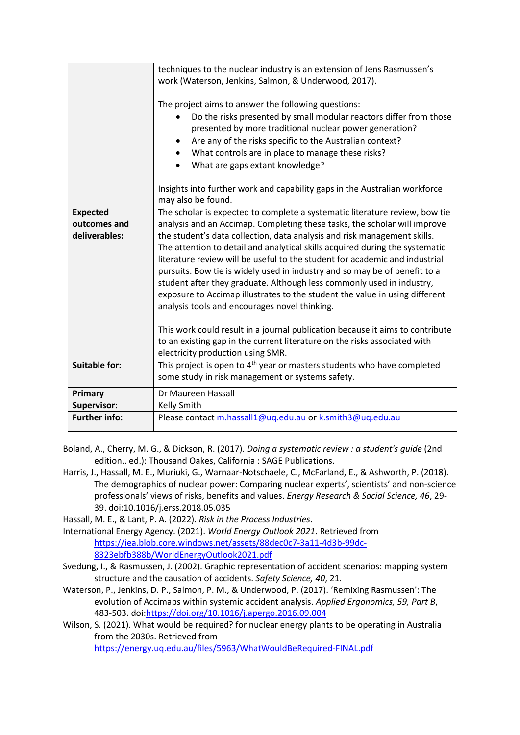|                      | techniques to the nuclear industry is an extension of Jens Rasmussen's<br>work (Waterson, Jenkins, Salmon, & Underwood, 2017).<br>The project aims to answer the following questions:<br>Do the risks presented by small modular reactors differ from those<br>presented by more traditional nuclear power generation?<br>Are any of the risks specific to the Australian context?<br>٠<br>What controls are in place to manage these risks?<br>$\bullet$<br>What are gaps extant knowledge?                                                                                                                                                                                                 |
|----------------------|----------------------------------------------------------------------------------------------------------------------------------------------------------------------------------------------------------------------------------------------------------------------------------------------------------------------------------------------------------------------------------------------------------------------------------------------------------------------------------------------------------------------------------------------------------------------------------------------------------------------------------------------------------------------------------------------|
|                      | Insights into further work and capability gaps in the Australian workforce<br>may also be found.                                                                                                                                                                                                                                                                                                                                                                                                                                                                                                                                                                                             |
| <b>Expected</b>      | The scholar is expected to complete a systematic literature review, bow tie                                                                                                                                                                                                                                                                                                                                                                                                                                                                                                                                                                                                                  |
| outcomes and         | analysis and an Accimap. Completing these tasks, the scholar will improve                                                                                                                                                                                                                                                                                                                                                                                                                                                                                                                                                                                                                    |
| deliverables:        | the student's data collection, data analysis and risk management skills.<br>The attention to detail and analytical skills acquired during the systematic<br>literature review will be useful to the student for academic and industrial<br>pursuits. Bow tie is widely used in industry and so may be of benefit to a<br>student after they graduate. Although less commonly used in industry,<br>exposure to Accimap illustrates to the student the value in using different<br>analysis tools and encourages novel thinking.<br>This work could result in a journal publication because it aims to contribute<br>to an existing gap in the current literature on the risks associated with |
|                      | electricity production using SMR.                                                                                                                                                                                                                                                                                                                                                                                                                                                                                                                                                                                                                                                            |
| <b>Suitable for:</b> | This project is open to 4 <sup>th</sup> year or masters students who have completed<br>some study in risk management or systems safety.                                                                                                                                                                                                                                                                                                                                                                                                                                                                                                                                                      |
| Primary              | Dr Maureen Hassall                                                                                                                                                                                                                                                                                                                                                                                                                                                                                                                                                                                                                                                                           |
| Supervisor:          | Kelly Smith                                                                                                                                                                                                                                                                                                                                                                                                                                                                                                                                                                                                                                                                                  |
| <b>Further info:</b> | Please contact m.hassall1@uq.edu.au or k.smith3@uq.edu.au                                                                                                                                                                                                                                                                                                                                                                                                                                                                                                                                                                                                                                    |

- Boland, A., Cherry, M. G., & Dickson, R. (2017). *Doing a systematic review : a student's guide* (2nd edition.. ed.): Thousand Oakes, California : SAGE Publications.
- Harris, J., Hassall, M. E., Muriuki, G., Warnaar-Notschaele, C., McFarland, E., & Ashworth, P. (2018). The demographics of nuclear power: Comparing nuclear experts', scientists' and non-science professionals' views of risks, benefits and values. *Energy Research & Social Science, 46*, 29- 39. doi:10.1016/j.erss.2018.05.035
- Hassall, M. E., & Lant, P. A. (2022). *Risk in the Process Industries*.
- International Energy Agency. (2021). *World Energy Outlook 2021*. Retrieved from [https://iea.blob.core.windows.net/assets/88dec0c7-3a11-4d3b-99dc-](https://iea.blob.core.windows.net/assets/88dec0c7-3a11-4d3b-99dc-8323ebfb388b/WorldEnergyOutlook2021.pdf)[8323ebfb388b/WorldEnergyOutlook2021.pdf](https://iea.blob.core.windows.net/assets/88dec0c7-3a11-4d3b-99dc-8323ebfb388b/WorldEnergyOutlook2021.pdf)
- Svedung, I., & Rasmussen, J. (2002). Graphic representation of accident scenarios: mapping system structure and the causation of accidents. *Safety Science, 40*, 21.
- Waterson, P., Jenkins, D. P., Salmon, P. M., & Underwood, P. (2017). 'Remixing Rasmussen': The evolution of Accimaps within systemic accident analysis. *Applied Ergonomics, 59, Part B*, 483-503. doi[:https://doi.org/10.1016/j.apergo.2016.09.004](https://doi.org/10.1016/j.apergo.2016.09.004)
- Wilson, S. (2021). What would be required? for nuclear energy plants to be operating in Australia from the 2030s. Retrieved from <https://energy.uq.edu.au/files/5963/WhatWouldBeRequired-FINAL.pdf>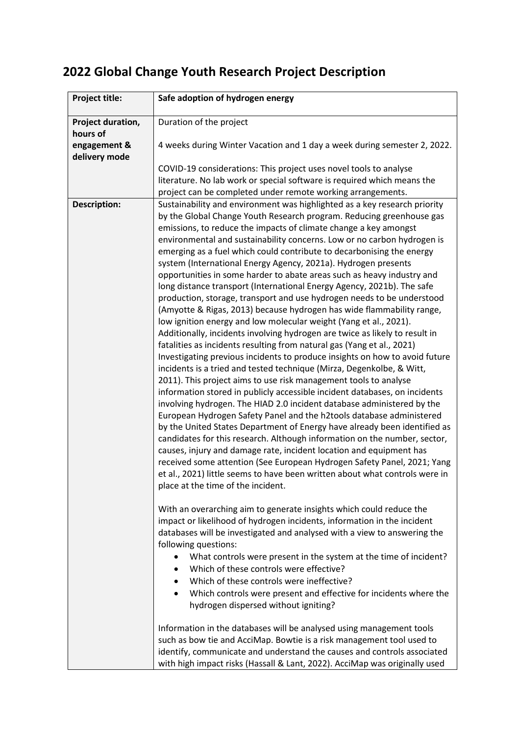| Project title:                | Safe adoption of hydrogen energy                                                                                                                                                                                                                                                               |
|-------------------------------|------------------------------------------------------------------------------------------------------------------------------------------------------------------------------------------------------------------------------------------------------------------------------------------------|
| Project duration,<br>hours of | Duration of the project                                                                                                                                                                                                                                                                        |
| engagement &<br>delivery mode | 4 weeks during Winter Vacation and 1 day a week during semester 2, 2022.                                                                                                                                                                                                                       |
|                               | COVID-19 considerations: This project uses novel tools to analyse                                                                                                                                                                                                                              |
|                               | literature. No lab work or special software is required which means the                                                                                                                                                                                                                        |
|                               | project can be completed under remote working arrangements.                                                                                                                                                                                                                                    |
| <b>Description:</b>           | Sustainability and environment was highlighted as a key research priority                                                                                                                                                                                                                      |
|                               | by the Global Change Youth Research program. Reducing greenhouse gas                                                                                                                                                                                                                           |
|                               | emissions, to reduce the impacts of climate change a key amongst                                                                                                                                                                                                                               |
|                               | environmental and sustainability concerns. Low or no carbon hydrogen is<br>emerging as a fuel which could contribute to decarbonising the energy<br>system (International Energy Agency, 2021a). Hydrogen presents                                                                             |
|                               | opportunities in some harder to abate areas such as heavy industry and                                                                                                                                                                                                                         |
|                               | long distance transport (International Energy Agency, 2021b). The safe<br>production, storage, transport and use hydrogen needs to be understood<br>(Amyotte & Rigas, 2013) because hydrogen has wide flammability range,<br>low ignition energy and low molecular weight (Yang et al., 2021). |
|                               | Additionally, incidents involving hydrogen are twice as likely to result in<br>fatalities as incidents resulting from natural gas (Yang et al., 2021)                                                                                                                                          |
|                               | Investigating previous incidents to produce insights on how to avoid future                                                                                                                                                                                                                    |
|                               | incidents is a tried and tested technique (Mirza, Degenkolbe, & Witt,                                                                                                                                                                                                                          |
|                               | 2011). This project aims to use risk management tools to analyse                                                                                                                                                                                                                               |
|                               | information stored in publicly accessible incident databases, on incidents                                                                                                                                                                                                                     |
|                               | involving hydrogen. The HIAD 2.0 incident database administered by the                                                                                                                                                                                                                         |
|                               | European Hydrogen Safety Panel and the h2tools database administered                                                                                                                                                                                                                           |
|                               | by the United States Department of Energy have already been identified as                                                                                                                                                                                                                      |
|                               | candidates for this research. Although information on the number, sector,                                                                                                                                                                                                                      |
|                               | causes, injury and damage rate, incident location and equipment has<br>received some attention (See European Hydrogen Safety Panel, 2021; Yang                                                                                                                                                 |
|                               | et al., 2021) little seems to have been written about what controls were in                                                                                                                                                                                                                    |
|                               | place at the time of the incident.                                                                                                                                                                                                                                                             |
|                               |                                                                                                                                                                                                                                                                                                |
|                               | With an overarching aim to generate insights which could reduce the                                                                                                                                                                                                                            |
|                               | impact or likelihood of hydrogen incidents, information in the incident                                                                                                                                                                                                                        |
|                               | databases will be investigated and analysed with a view to answering the                                                                                                                                                                                                                       |
|                               | following questions:                                                                                                                                                                                                                                                                           |
|                               | What controls were present in the system at the time of incident?<br>Which of these controls were effective?                                                                                                                                                                                   |
|                               | Which of these controls were ineffective?                                                                                                                                                                                                                                                      |
|                               | Which controls were present and effective for incidents where the                                                                                                                                                                                                                              |
|                               | hydrogen dispersed without igniting?                                                                                                                                                                                                                                                           |
|                               |                                                                                                                                                                                                                                                                                                |
|                               | Information in the databases will be analysed using management tools                                                                                                                                                                                                                           |
|                               | such as bow tie and AcciMap. Bowtie is a risk management tool used to                                                                                                                                                                                                                          |
|                               | identify, communicate and understand the causes and controls associated                                                                                                                                                                                                                        |
|                               | with high impact risks (Hassall & Lant, 2022). AcciMap was originally used                                                                                                                                                                                                                     |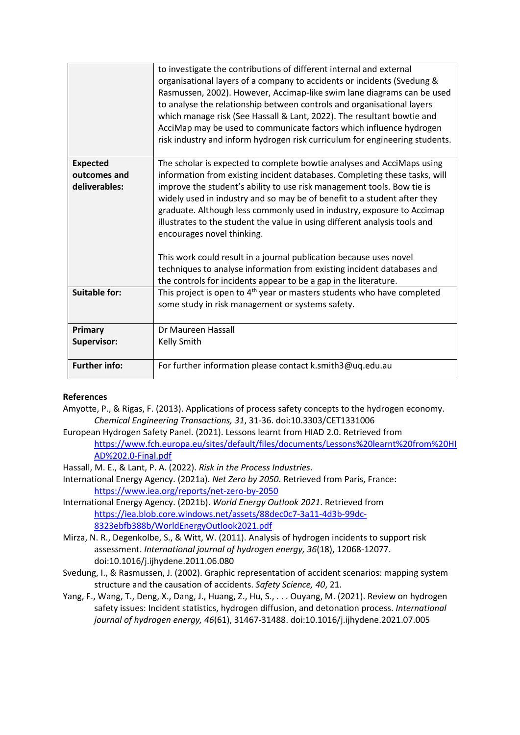|                               | to investigate the contributions of different internal and external<br>organisational layers of a company to accidents or incidents (Svedung &<br>Rasmussen, 2002). However, Accimap-like swim lane diagrams can be used<br>to analyse the relationship between controls and organisational layers<br>which manage risk (See Hassall & Lant, 2022). The resultant bowtie and<br>AcciMap may be used to communicate factors which influence hydrogen<br>risk industry and inform hydrogen risk curriculum for engineering students. |
|-------------------------------|------------------------------------------------------------------------------------------------------------------------------------------------------------------------------------------------------------------------------------------------------------------------------------------------------------------------------------------------------------------------------------------------------------------------------------------------------------------------------------------------------------------------------------|
| <b>Expected</b>               | The scholar is expected to complete bowtie analyses and AcciMaps using                                                                                                                                                                                                                                                                                                                                                                                                                                                             |
| outcomes and<br>deliverables: | information from existing incident databases. Completing these tasks, will<br>improve the student's ability to use risk management tools. Bow tie is                                                                                                                                                                                                                                                                                                                                                                               |
|                               | widely used in industry and so may be of benefit to a student after they                                                                                                                                                                                                                                                                                                                                                                                                                                                           |
|                               | graduate. Although less commonly used in industry, exposure to Accimap                                                                                                                                                                                                                                                                                                                                                                                                                                                             |
|                               | illustrates to the student the value in using different analysis tools and                                                                                                                                                                                                                                                                                                                                                                                                                                                         |
|                               | encourages novel thinking.                                                                                                                                                                                                                                                                                                                                                                                                                                                                                                         |
|                               | This work could result in a journal publication because uses novel                                                                                                                                                                                                                                                                                                                                                                                                                                                                 |
|                               | techniques to analyse information from existing incident databases and                                                                                                                                                                                                                                                                                                                                                                                                                                                             |
|                               | the controls for incidents appear to be a gap in the literature.                                                                                                                                                                                                                                                                                                                                                                                                                                                                   |
| <b>Suitable for:</b>          | This project is open to 4 <sup>th</sup> year or masters students who have completed                                                                                                                                                                                                                                                                                                                                                                                                                                                |
|                               | some study in risk management or systems safety.                                                                                                                                                                                                                                                                                                                                                                                                                                                                                   |
| Primary                       | Dr Maureen Hassall                                                                                                                                                                                                                                                                                                                                                                                                                                                                                                                 |
| Supervisor:                   | <b>Kelly Smith</b>                                                                                                                                                                                                                                                                                                                                                                                                                                                                                                                 |
| <b>Further info:</b>          | For further information please contact k.smith3@uq.edu.au                                                                                                                                                                                                                                                                                                                                                                                                                                                                          |

### **References**

Amyotte, P., & Rigas, F. (2013). Applications of process safety concepts to the hydrogen economy. *Chemical Engineering Transactions, 31*, 31-36. doi:10.3303/CET1331006

- European Hydrogen Safety Panel. (2021). Lessons learnt from HIAD 2.0. Retrieved from [https://www.fch.europa.eu/sites/default/files/documents/Lessons%20learnt%20from%20HI](https://www.fch.europa.eu/sites/default/files/documents/Lessons%20learnt%20from%20HIAD%202.0-Final.pdf) [AD%202.0-Final.pdf](https://www.fch.europa.eu/sites/default/files/documents/Lessons%20learnt%20from%20HIAD%202.0-Final.pdf)
- Hassall, M. E., & Lant, P. A. (2022). *Risk in the Process Industries*.
- International Energy Agency. (2021a). *Net Zero by 2050*. Retrieved from Paris, France: <https://www.iea.org/reports/net-zero-by-2050>
- International Energy Agency. (2021b). *World Energy Outlook 2021*. Retrieved from [https://iea.blob.core.windows.net/assets/88dec0c7-3a11-4d3b-99dc-](https://iea.blob.core.windows.net/assets/88dec0c7-3a11-4d3b-99dc-8323ebfb388b/WorldEnergyOutlook2021.pdf)[8323ebfb388b/WorldEnergyOutlook2021.pdf](https://iea.blob.core.windows.net/assets/88dec0c7-3a11-4d3b-99dc-8323ebfb388b/WorldEnergyOutlook2021.pdf)
- Mirza, N. R., Degenkolbe, S., & Witt, W. (2011). Analysis of hydrogen incidents to support risk assessment. *International journal of hydrogen energy, 36*(18), 12068-12077. doi:10.1016/j.ijhydene.2011.06.080
- Svedung, I., & Rasmussen, J. (2002). Graphic representation of accident scenarios: mapping system structure and the causation of accidents. *Safety Science, 40*, 21.
- Yang, F., Wang, T., Deng, X., Dang, J., Huang, Z., Hu, S., . . . Ouyang, M. (2021). Review on hydrogen safety issues: Incident statistics, hydrogen diffusion, and detonation process. *International journal of hydrogen energy, 46*(61), 31467-31488. doi:10.1016/j.ijhydene.2021.07.005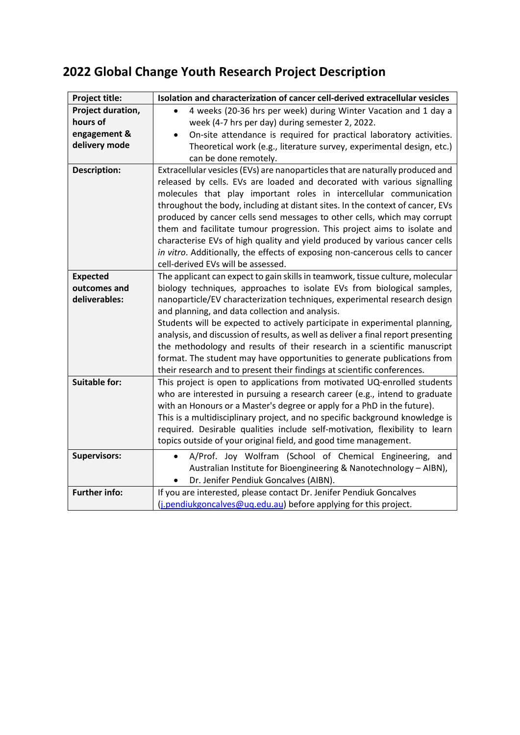| Project title:       | Isolation and characterization of cancer cell-derived extracellular vesicles                                                                                                                                                                                                                                                                                                                                                                                              |
|----------------------|---------------------------------------------------------------------------------------------------------------------------------------------------------------------------------------------------------------------------------------------------------------------------------------------------------------------------------------------------------------------------------------------------------------------------------------------------------------------------|
| Project duration,    | 4 weeks (20-36 hrs per week) during Winter Vacation and 1 day a                                                                                                                                                                                                                                                                                                                                                                                                           |
| hours of             | week (4-7 hrs per day) during semester 2, 2022.                                                                                                                                                                                                                                                                                                                                                                                                                           |
| engagement &         | On-site attendance is required for practical laboratory activities.                                                                                                                                                                                                                                                                                                                                                                                                       |
| delivery mode        | Theoretical work (e.g., literature survey, experimental design, etc.)                                                                                                                                                                                                                                                                                                                                                                                                     |
|                      | can be done remotely.                                                                                                                                                                                                                                                                                                                                                                                                                                                     |
| <b>Description:</b>  | Extracellular vesicles (EVs) are nanoparticles that are naturally produced and<br>released by cells. EVs are loaded and decorated with various signalling<br>molecules that play important roles in intercellular communication<br>throughout the body, including at distant sites. In the context of cancer, EVs<br>produced by cancer cells send messages to other cells, which may corrupt<br>them and facilitate tumour progression. This project aims to isolate and |
|                      | characterise EVs of high quality and yield produced by various cancer cells<br>in vitro. Additionally, the effects of exposing non-cancerous cells to cancer<br>cell-derived EVs will be assessed.                                                                                                                                                                                                                                                                        |
| <b>Expected</b>      | The applicant can expect to gain skills in teamwork, tissue culture, molecular                                                                                                                                                                                                                                                                                                                                                                                            |
| outcomes and         | biology techniques, approaches to isolate EVs from biological samples,                                                                                                                                                                                                                                                                                                                                                                                                    |
| deliverables:        | nanoparticle/EV characterization techniques, experimental research design                                                                                                                                                                                                                                                                                                                                                                                                 |
|                      | and planning, and data collection and analysis.                                                                                                                                                                                                                                                                                                                                                                                                                           |
|                      | Students will be expected to actively participate in experimental planning,                                                                                                                                                                                                                                                                                                                                                                                               |
|                      | analysis, and discussion of results, as well as deliver a final report presenting<br>the methodology and results of their research in a scientific manuscript                                                                                                                                                                                                                                                                                                             |
|                      | format. The student may have opportunities to generate publications from                                                                                                                                                                                                                                                                                                                                                                                                  |
|                      | their research and to present their findings at scientific conferences.                                                                                                                                                                                                                                                                                                                                                                                                   |
| <b>Suitable for:</b> | This project is open to applications from motivated UQ-enrolled students<br>who are interested in pursuing a research career (e.g., intend to graduate<br>with an Honours or a Master's degree or apply for a PhD in the future).<br>This is a multidisciplinary project, and no specific background knowledge is<br>required. Desirable qualities include self-motivation, flexibility to learn<br>topics outside of your original field, and good time management.      |
| <b>Supervisors:</b>  | A/Prof. Joy Wolfram (School of Chemical Engineering, and                                                                                                                                                                                                                                                                                                                                                                                                                  |
|                      | Australian Institute for Bioengineering & Nanotechnology - AIBN),<br>Dr. Jenifer Pendiuk Goncalves (AIBN).<br>$\bullet$                                                                                                                                                                                                                                                                                                                                                   |
| <b>Further info:</b> | If you are interested, please contact Dr. Jenifer Pendiuk Goncalves                                                                                                                                                                                                                                                                                                                                                                                                       |
|                      | ( <i>j.pendiukgoncalves@uq.edu.au</i> ) before applying for this project.                                                                                                                                                                                                                                                                                                                                                                                                 |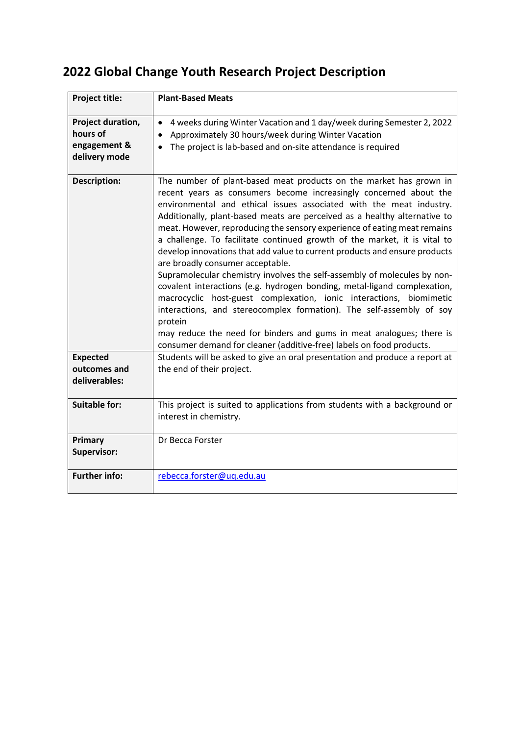| Project title:                                                 | <b>Plant-Based Meats</b>                                                                                                                                                                                                                                                                                                                                                                                                                                                                                                                                                                                                                                                                                                                                                                                                                                                                                                                                                                                                                 |
|----------------------------------------------------------------|------------------------------------------------------------------------------------------------------------------------------------------------------------------------------------------------------------------------------------------------------------------------------------------------------------------------------------------------------------------------------------------------------------------------------------------------------------------------------------------------------------------------------------------------------------------------------------------------------------------------------------------------------------------------------------------------------------------------------------------------------------------------------------------------------------------------------------------------------------------------------------------------------------------------------------------------------------------------------------------------------------------------------------------|
| Project duration,<br>hours of<br>engagement &<br>delivery mode | 4 weeks during Winter Vacation and 1 day/week during Semester 2, 2022<br>Approximately 30 hours/week during Winter Vacation<br>The project is lab-based and on-site attendance is required                                                                                                                                                                                                                                                                                                                                                                                                                                                                                                                                                                                                                                                                                                                                                                                                                                               |
| <b>Description:</b>                                            | The number of plant-based meat products on the market has grown in<br>recent years as consumers become increasingly concerned about the<br>environmental and ethical issues associated with the meat industry.<br>Additionally, plant-based meats are perceived as a healthy alternative to<br>meat. However, reproducing the sensory experience of eating meat remains<br>a challenge. To facilitate continued growth of the market, it is vital to<br>develop innovations that add value to current products and ensure products<br>are broadly consumer acceptable.<br>Supramolecular chemistry involves the self-assembly of molecules by non-<br>covalent interactions (e.g. hydrogen bonding, metal-ligand complexation,<br>macrocyclic host-guest complexation, ionic interactions, biomimetic<br>interactions, and stereocomplex formation). The self-assembly of soy<br>protein<br>may reduce the need for binders and gums in meat analogues; there is<br>consumer demand for cleaner (additive-free) labels on food products. |
| <b>Expected</b><br>outcomes and<br>deliverables:               | Students will be asked to give an oral presentation and produce a report at<br>the end of their project.                                                                                                                                                                                                                                                                                                                                                                                                                                                                                                                                                                                                                                                                                                                                                                                                                                                                                                                                 |
| <b>Suitable for:</b>                                           | This project is suited to applications from students with a background or<br>interest in chemistry.                                                                                                                                                                                                                                                                                                                                                                                                                                                                                                                                                                                                                                                                                                                                                                                                                                                                                                                                      |
| Primary<br><b>Supervisor:</b>                                  | Dr Becca Forster                                                                                                                                                                                                                                                                                                                                                                                                                                                                                                                                                                                                                                                                                                                                                                                                                                                                                                                                                                                                                         |
| <b>Further info:</b>                                           | rebecca.forster@uq.edu.au                                                                                                                                                                                                                                                                                                                                                                                                                                                                                                                                                                                                                                                                                                                                                                                                                                                                                                                                                                                                                |